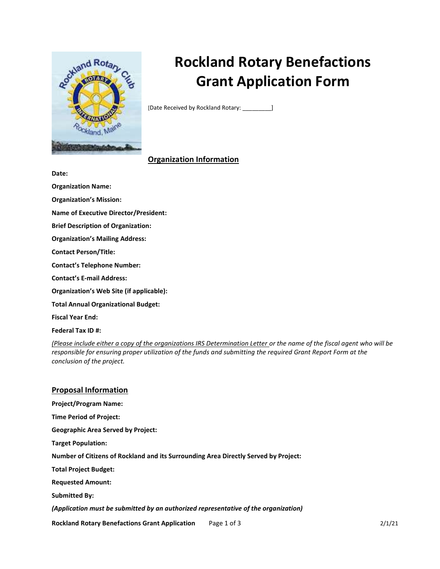

# Rockland Rotary Benefactions Grant Application Form

[Date Received by Rockland Rotary: \_\_\_\_\_\_\_\_\_]

# Organization Information

Date:

Organization Name:

Organization's Mission:

Name of Executive Director/President:

Brief Description of Organization:

Organization's Mailing Address:

Contact Person/Title:

Contact's Telephone Number:

Contact's E-mail Address:

Organization's Web Site (if applicable):

Total Annual Organizational Budget:

Fiscal Year End:

Federal Tax ID #:

(Please include either a copy of the organizations IRS Determination Letter or the name of the fiscal agent who will be responsible for ensuring proper utilization of the funds and submitting the required Grant Report Form at the conclusion of the project.

## Proposal Information

Project/Program Name: Time Period of Project: Geographic Area Served by Project: Target Population: Number of Citizens of Rockland and its Surrounding Area Directly Served by Project: Total Project Budget: Requested Amount: Submitted By: (Application must be submitted by an authorized representative of the organization)

Rockland Rotary Benefactions Grant Application Page 1 of 3 2/1/21 22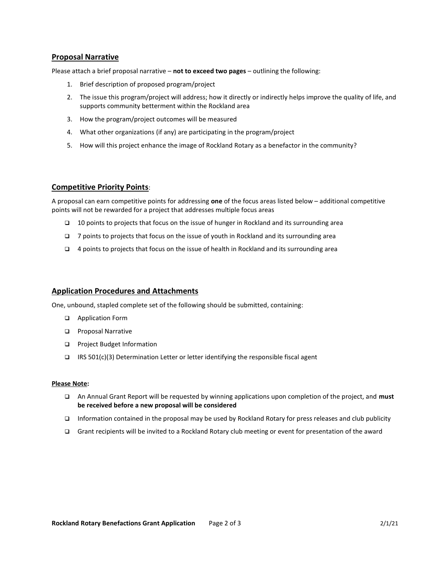## Proposal Narrative

Please attach a brief proposal narrative - not to exceed two pages - outlining the following:

- 1. Brief description of proposed program/project
- 2. The issue this program/project will address; how it directly or indirectly helps improve the quality of life, and supports community betterment within the Rockland area
- 3. How the program/project outcomes will be measured
- 4. What other organizations (if any) are participating in the program/project
- 5. How will this project enhance the image of Rockland Rotary as a benefactor in the community?

#### Competitive Priority Points:

A proposal can earn competitive points for addressing one of the focus areas listed below – additional competitive points will not be rewarded for a project that addresses multiple focus areas

- 10 points to projects that focus on the issue of hunger in Rockland and its surrounding area
- $\Box$  7 points to projects that focus on the issue of youth in Rockland and its surrounding area
- $\Box$  4 points to projects that focus on the issue of health in Rockland and its surrounding area

#### Application Procedures and Attachments

One, unbound, stapled complete set of the following should be submitted, containing:

- □ Application Form
- **D** Proposal Narrative
- □ Project Budget Information
- **IRS 501(c)(3) Determination Letter or letter identifying the responsible fiscal agent**

#### Please Note:

- An Annual Grant Report will be requested by winning applications upon completion of the project, and must be received before a new proposal will be considered
- Information contained in the proposal may be used by Rockland Rotary for press releases and club publicity
- Grant recipients will be invited to a Rockland Rotary club meeting or event for presentation of the award